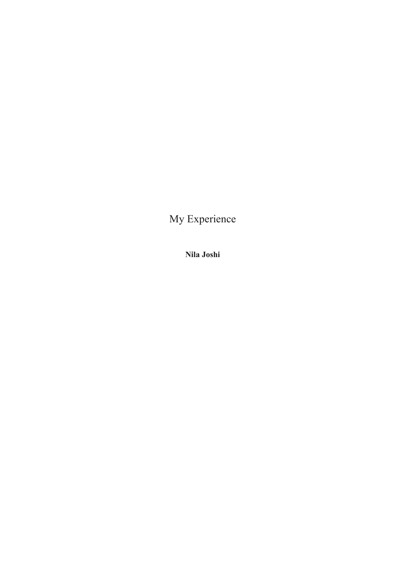My Experience

**Nila Joshi**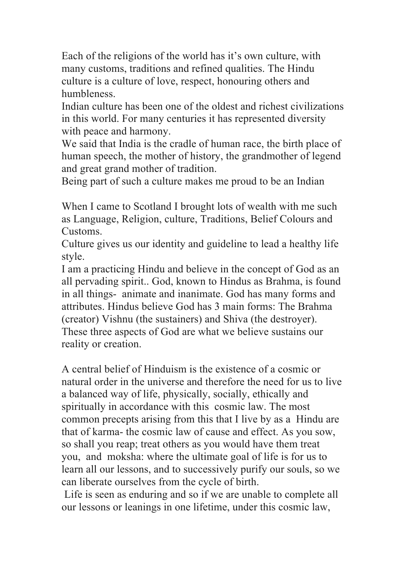Each of the religions of the world has it's own culture, with many customs, traditions and refined qualities. The Hindu culture is a culture of love, respect, honouring others and humbleness.

Indian culture has been one of the oldest and richest civilizations in this world. For many centuries it has represented diversity with peace and harmony.

We said that India is the cradle of human race, the birth place of human speech, the mother of history, the grandmother of legend and great grand mother of tradition.

Being part of such a culture makes me proud to be an Indian

When I came to Scotland I brought lots of wealth with me such as Language, Religion, culture, Traditions, Belief Colours and Customs.

Culture gives us our identity and guideline to lead a healthy life style.

I am a practicing Hindu and believe in the concept of God as an all pervading spirit.. God, known to Hindus as Brahma, is found in all things- animate and inanimate. God has many forms and attributes. Hindus believe God has 3 main forms: The Brahma (creator) Vishnu (the sustainers) and Shiva (the destroyer). These three aspects of God are what we believe sustains our reality or creation.

A central belief of Hinduism is the existence of a cosmic or natural order in the universe and therefore the need for us to live a balanced way of life, physically, socially, ethically and spiritually in accordance with this cosmic law. The most common precepts arising from this that I live by as a Hindu are that of karma- the cosmic law of cause and effect. As you sow, so shall you reap; treat others as you would have them treat you, and moksha: where the ultimate goal of life is for us to learn all our lessons, and to successively purify our souls, so we can liberate ourselves from the cycle of birth.

Life is seen as enduring and so if we are unable to complete all our lessons or leanings in one lifetime, under this cosmic law,